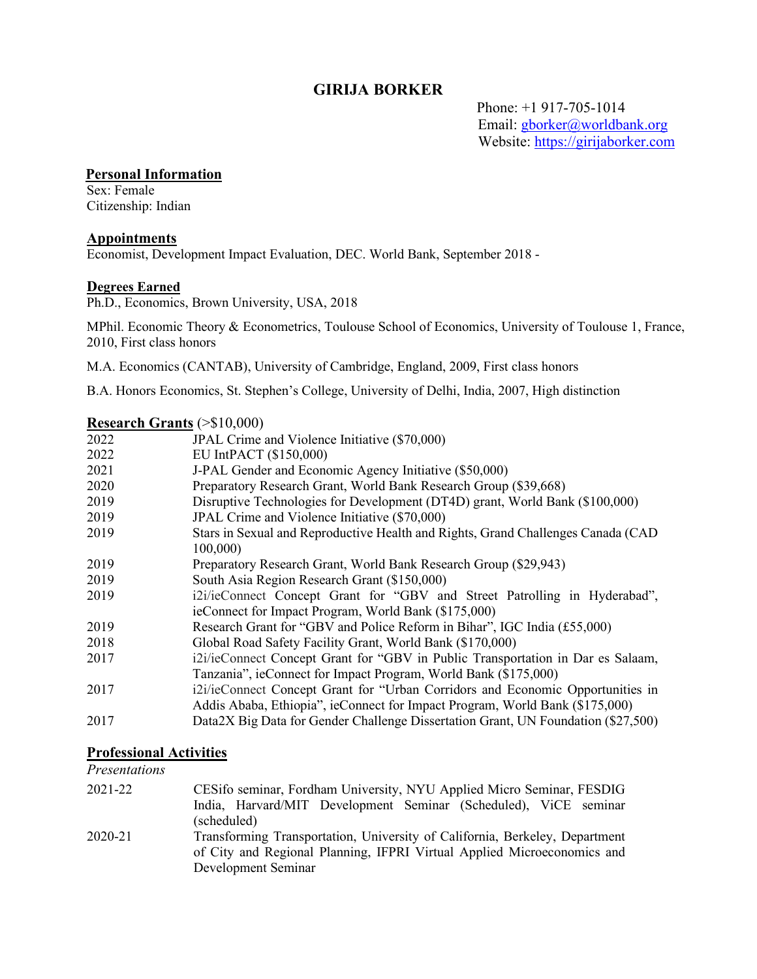## **GIRIJA BORKER**

 Phone: +1 917-705-1014 Email: [gborker@worldbank.org](mailto:gborker@worldbank.org)  Website: [https://girijaborker.com](https://girijaborker.com/)

#### **Personal Information**

Sex: Female Citizenship: Indian

#### **Appointments**

Economist, Development Impact Evaluation, DEC. World Bank, September 2018 -

#### **Degrees Earned**

Ph.D., Economics, Brown University, USA, 2018

MPhil. Economic Theory & Econometrics, Toulouse School of Economics, University of Toulouse 1, France, 2010, First class honors

M.A. Economics (CANTAB), University of Cambridge, England, 2009, First class honors

B.A. Honors Economics, St. Stephen's College, University of Delhi, India, 2007, High distinction

## **Research Grants** (>\$10,000)

| 2022 | JPAL Crime and Violence Initiative (\$70,000)                                      |
|------|------------------------------------------------------------------------------------|
| 2022 | EU IntPACT (\$150,000)                                                             |
| 2021 | J-PAL Gender and Economic Agency Initiative (\$50,000)                             |
| 2020 | Preparatory Research Grant, World Bank Research Group (\$39,668)                   |
| 2019 | Disruptive Technologies for Development (DT4D) grant, World Bank (\$100,000)       |
| 2019 | JPAL Crime and Violence Initiative (\$70,000)                                      |
| 2019 | Stars in Sexual and Reproductive Health and Rights, Grand Challenges Canada (CAD   |
|      | 100,000)                                                                           |
| 2019 | Preparatory Research Grant, World Bank Research Group (\$29,943)                   |
| 2019 | South Asia Region Research Grant (\$150,000)                                       |
| 2019 | i2i/ieConnect Concept Grant for "GBV and Street Patrolling in Hyderabad",          |
|      | ieConnect for Impact Program, World Bank (\$175,000)                               |
| 2019 | Research Grant for "GBV and Police Reform in Bihar", IGC India (£55,000)           |
| 2018 | Global Road Safety Facility Grant, World Bank (\$170,000)                          |
| 2017 | i2i/ieConnect Concept Grant for "GBV in Public Transportation in Dar es Salaam,    |
|      | Tanzania", ieConnect for Impact Program, World Bank (\$175,000)                    |
| 2017 | i2i/ieConnect Concept Grant for "Urban Corridors and Economic Opportunities in     |
|      | Addis Ababa, Ethiopia", ieConnect for Impact Program, World Bank (\$175,000)       |
| 2017 | Data 2X Big Data for Gender Challenge Dissertation Grant, UN Foundation (\$27,500) |
|      |                                                                                    |

#### **Professional Activities**

## *Presentations*

| 2021-22 | CESifo seminar, Fordham University, NYU Applied Micro Seminar, FESDIG<br>India, Harvard/MIT Development Seminar (Scheduled), ViCE seminar                                                    |
|---------|----------------------------------------------------------------------------------------------------------------------------------------------------------------------------------------------|
| 2020-21 | (scheduled)<br>Transforming Transportation, University of California, Berkeley, Department<br>of City and Regional Planning, IFPRI Virtual Applied Microeconomics and<br>Development Seminar |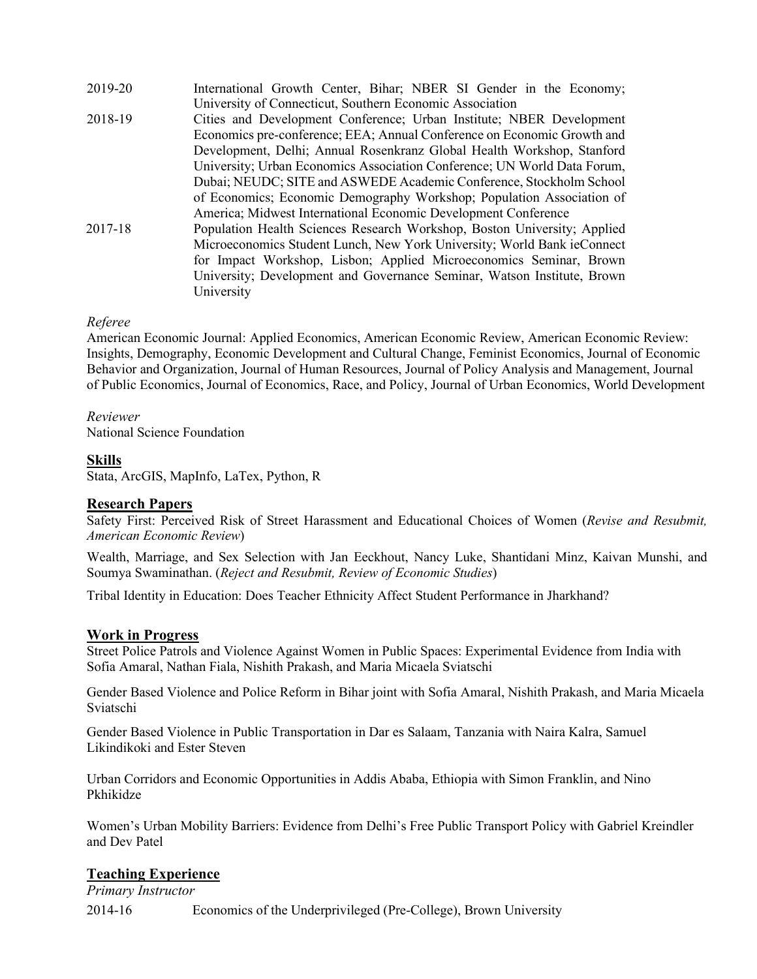| 2019-20 | International Growth Center, Bihar; NBER SI Gender in the Economy;       |
|---------|--------------------------------------------------------------------------|
|         | University of Connecticut, Southern Economic Association                 |
| 2018-19 | Cities and Development Conference; Urban Institute; NBER Development     |
|         | Economics pre-conference; EEA; Annual Conference on Economic Growth and  |
|         | Development, Delhi; Annual Rosenkranz Global Health Workshop, Stanford   |
|         | University; Urban Economics Association Conference; UN World Data Forum, |
|         | Dubai; NEUDC; SITE and ASWEDE Academic Conference, Stockholm School      |
|         | of Economics; Economic Demography Workshop; Population Association of    |
|         | America; Midwest International Economic Development Conference           |
| 2017-18 | Population Health Sciences Research Workshop, Boston University; Applied |
|         | Microeconomics Student Lunch, New York University; World Bank ieConnect  |
|         | for Impact Workshop, Lisbon; Applied Microeconomics Seminar, Brown       |
|         | University; Development and Governance Seminar, Watson Institute, Brown  |
|         | University                                                               |

### *Referee*

American Economic Journal: Applied Economics, American Economic Review, American Economic Review: Insights, Demography, Economic Development and Cultural Change, Feminist Economics, Journal of Economic Behavior and Organization, Journal of Human Resources, Journal of Policy Analysis and Management, Journal of Public Economics, Journal of Economics, Race, and Policy, Journal of Urban Economics, World Development

*Reviewer* National Science Foundation

### **Skills**

Stata, ArcGIS, MapInfo, LaTex, Python, R

#### **Research Papers**

Safety First: Perceived Risk of Street Harassment and Educational Choices of Women (*Revise and Resubmit, American Economic Review*)

Wealth, Marriage, and Sex Selection with Jan Eeckhout, Nancy Luke, Shantidani Minz, Kaivan Munshi, and Soumya Swaminathan. (*Reject and Resubmit, Review of Economic Studies*)

Tribal Identity in Education: Does Teacher Ethnicity Affect Student Performance in Jharkhand?

#### **Work in Progress**

Street Police Patrols and Violence Against Women in Public Spaces: Experimental Evidence from India with Sofia Amaral, Nathan Fiala, Nishith Prakash, and Maria Micaela Sviatschi

Gender Based Violence and Police Reform in Bihar joint with Sofia Amaral, Nishith Prakash, and Maria Micaela Sviatschi

Gender Based Violence in Public Transportation in Dar es Salaam, Tanzania with Naira Kalra, Samuel Likindikoki and Ester Steven

Urban Corridors and Economic Opportunities in Addis Ababa, Ethiopia with Simon Franklin, and Nino Pkhikidze

Women's Urban Mobility Barriers: Evidence from Delhi's Free Public Transport Policy with Gabriel Kreindler and Dev Patel

#### **Teaching Experience**

*Primary Instructor*

2014-16 Economics of the Underprivileged (Pre-College), Brown University